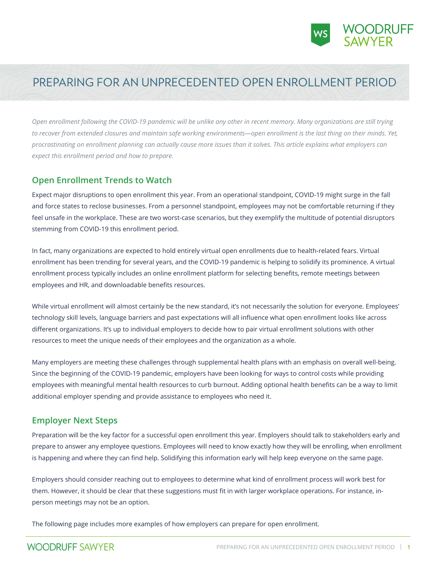

# PREPARING FOR AN UNPRECEDENTED OPEN ENROLLMENT PERIOD

*Open enrollment following the COVID-19 pandemic will be unlike any other in recent memory. Many organizations are still trying to recover from extended closures and maintain safe working environments—open enrollment is the last thing on their minds. Yet, procrastinating on enrollment planning can actually cause more issues than it solves. This article explains what employers can expect this enrollment period and how to prepare.* 

#### **Open Enrollment Trends to Watch**

Expect major disruptions to open enrollment this year. From an operational standpoint, COVID-19 might surge in the fall and force states to reclose businesses. From a personnel standpoint, employees may not be comfortable returning if they feel unsafe in the workplace. These are two worst-case scenarios, but they exemplify the multitude of potential disruptors stemming from COVID-19 this enrollment period.

In fact, many organizations are expected to hold entirely virtual open enrollments due to health-related fears. Virtual enrollment has been trending for several years, and the COVID-19 pandemic is helping to solidify its prominence. A virtual enrollment process typically includes an online enrollment platform for selecting benefits, remote meetings between employees and HR, and downloadable benefits resources.

While virtual enrollment will almost certainly be the new standard, it's not necessarily the solution for everyone. Employees' technology skill levels, language barriers and past expectations will all influence what open enrollment looks like across different organizations. It's up to individual employers to decide how to pair virtual enrollment solutions with other resources to meet the unique needs of their employees and the organization as a whole.

Many employers are meeting these challenges through supplemental health plans with an emphasis on overall well-being. Since the beginning of the COVID-19 pandemic, employers have been looking for ways to control costs while providing employees with meaningful mental health resources to curb burnout. Adding optional health benefits can be a way to limit additional employer spending and provide assistance to employees who need it.

#### **Employer Next Steps**

Preparation will be the key factor for a successful open enrollment this year. Employers should talk to stakeholders early and prepare to answer any employee questions. Employees will need to know exactly how they will be enrolling, when enrollment is happening and where they can find help. Solidifying this information early will help keep everyone on the same page.

Employers should consider reaching out to employees to determine what kind of enrollment process will work best for them. However, it should be clear that these suggestions must fit in with larger workplace operations. For instance, inperson meetings may not be an option.

The following page includes more examples of how employers can prepare for open enrollment.

## **WOODRUFF SAWYER**